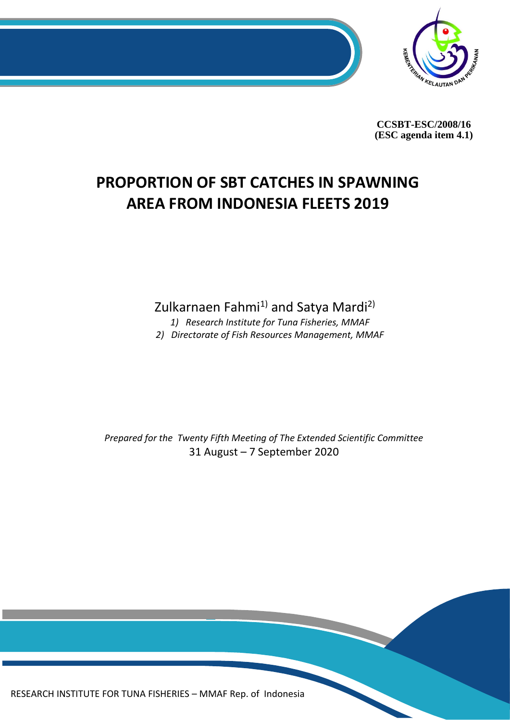

**CCSBT-ESC/2008/16 (ESC agenda item 4.1)**

# **PROPORTION OF SBT CATCHES IN SPAWNING AREA FROM INDONESIA FLEETS 2019**

Zulkarnaen Fahmi<sup>1)</sup> and Satya Mardi<sup>2)</sup>

*1) Research Institute for Tuna Fisheries, MMAF*

*2) Directorate of Fish Resources Management, MMAF*

*Prepared for the Twenty Fifth Meeting of The Extended Scientific Committee* 31 August – 7 September 2020

0 RESEARCH INSTITUTE FOR TUNA FISHERIES – MMAF Rep. of Indonesia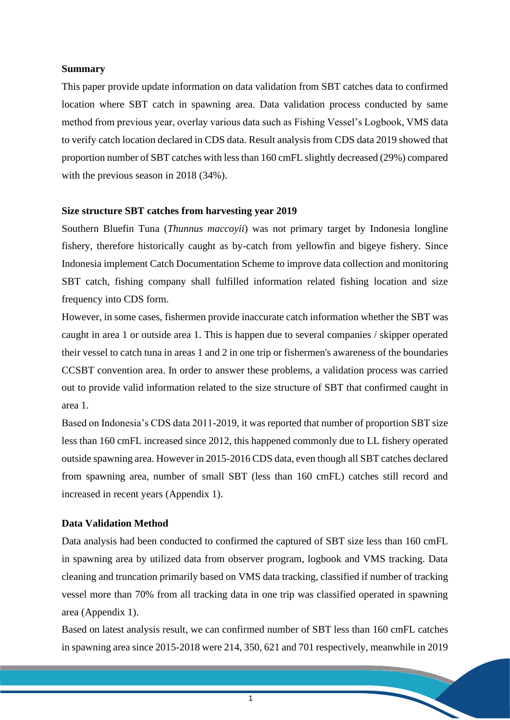#### **Summary**

This paper provide update information on data validation from SBT catches data to confirmed location where SBT catch in spawning area. Data validation process conducted by same method from previous year, overlay various data such as Fishing Vessel's Logbook, VMS data to verify catch location declared in CDS data. Result analysis from CDS data 2019 showed that proportion number of SBT catches with less than 160 cmFL slightly decreased (29%) compared with the previous season in 2018 (34%).

### **Size structure SBT catches from harvesting year 2019**

Southern Bluefin Tuna (*Thunnus maccoyii*) was not primary target by Indonesia longline fishery, therefore historically caught as by-catch from yellowfin and bigeye fishery. Since Indonesia implement Catch Documentation Scheme to improve data collection and monitoring SBT catch, fishing company shall fulfilled information related fishing location and size frequency into CDS form.

However, in some cases, fishermen provide inaccurate catch information whether the SBT was caught in area 1 or outside area 1. This is happen due to several companies / skipper operated their vessel to catch tuna in areas 1 and 2 in one trip or fishermen's awareness of the boundaries CCSBT convention area. In order to answer these problems, a validation process was carried out to provide valid information related to the size structure of SBT that confirmed caught in area 1.

Based on Indonesia's CDS data 2011-2019, it was reported that number of proportion SBT size less than 160 cmFL increased since 2012, this happened commonly due to LL fishery operated outside spawning area. However in 2015-2016 CDS data, even though all SBT catches declared from spawning area, number of small SBT (less than 160 cmFL) catches still record and increased in recent years (Appendix 1).

## **Data Validation Method**

Data analysis had been conducted to confirmed the captured of SBT size less than 160 cmFL in spawning area by utilized data from observer program, logbook and VMS tracking. Data cleaning and truncation primarily based on VMS data tracking, classified if number of tracking vessel more than 70% from all tracking data in one trip was classified operated in spawning area (Appendix 1).

Based on latest analysis result, we can confirmed number of SBT less than 160 cmFL catches in spawning area since 2015-2018 were 214, 350, 621 and 701 respectively, meanwhile in 2019

1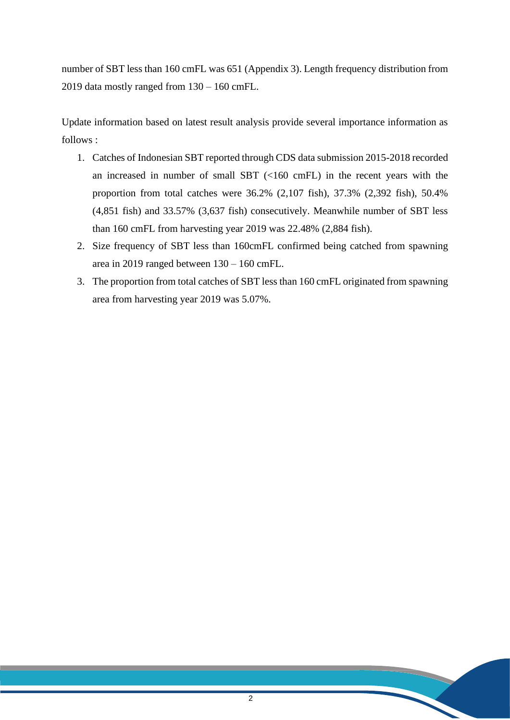number of SBT less than 160 cmFL was 651 (Appendix 3). Length frequency distribution from 2019 data mostly ranged from 130 – 160 cmFL.

Update information based on latest result analysis provide several importance information as  $follows.$ 

- 1. Catches of Indonesian SBT reported through CDS data submission 2015-2018 recorded an increased in number of small SBT (<160 cmFL) in the recent years with the proportion from total catches were 36.2% (2,107 fish), 37.3% (2,392 fish), 50.4% (4,851 fish) and 33.57% (3,637 fish) consecutively. Meanwhile number of SBT less than 160 cmFL from harvesting year 2019 was 22.48% (2,884 fish).
- 2. Size frequency of SBT less than 160cmFL confirmed being catched from spawning area in 2019 ranged between 130 – 160 cmFL.
- 3. The proportion from total catches of SBT less than 160 cmFL originated from spawning area from harvesting year 2019 was 5.07%.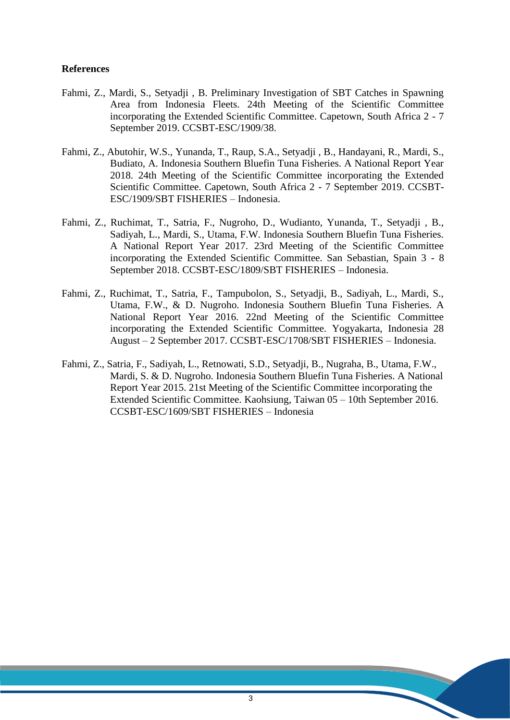#### **References**

- Fahmi, Z., Mardi, S., Setyadji , B. Preliminary Investigation of SBT Catches in Spawning Area from Indonesia Fleets. 24th Meeting of the Scientific Committee incorporating the Extended Scientific Committee. Capetown, South Africa 2 - 7 September 2019. CCSBT-ESC/1909/38.
- Fahmi, Z., Abutohir, W.S., Yunanda, T., Raup, S.A., Setyadji , B., Handayani, R., Mardi, S., Budiato, A. Indonesia Southern Bluefin Tuna Fisheries. A National Report Year 2018. 24th Meeting of the Scientific Committee incorporating the Extended Scientific Committee. Capetown, South Africa 2 - 7 September 2019. CCSBT-ESC/1909/SBT FISHERIES – Indonesia.
- Fahmi, Z., Ruchimat, T., Satria, F., Nugroho, D., Wudianto, Yunanda, T., Setyadji , B., Sadiyah, L., Mardi, S., Utama, F.W. Indonesia Southern Bluefin Tuna Fisheries. A National Report Year 2017. 23rd Meeting of the Scientific Committee incorporating the Extended Scientific Committee. San Sebastian, Spain 3 - 8 September 2018. CCSBT-ESC/1809/SBT FISHERIES – Indonesia.
- Fahmi, Z., Ruchimat, T., Satria, F., Tampubolon, S., Setyadji, B., Sadiyah, L., Mardi, S., Utama, F.W., & D. Nugroho. Indonesia Southern Bluefin Tuna Fisheries. A National Report Year 2016. 22nd Meeting of the Scientific Committee incorporating the Extended Scientific Committee. Yogyakarta, Indonesia 28 August – 2 September 2017. CCSBT-ESC/1708/SBT FISHERIES – Indonesia.
- Fahmi, Z., Satria, F., Sadiyah, L., Retnowati, S.D., Setyadji, B., Nugraha, B., Utama, F.W., Mardi, S. & D. Nugroho. Indonesia Southern Bluefin Tuna Fisheries. A National Report Year 2015. 21st Meeting of the Scientific Committee incorporating the Extended Scientific Committee. Kaohsiung, Taiwan 05 – 10th September 2016. CCSBT-ESC/1609/SBT FISHERIES – Indonesia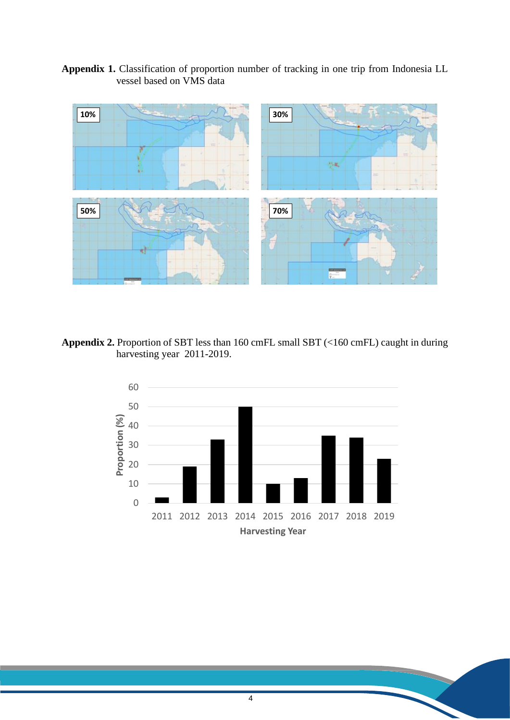**Appendix 1.** Classification of proportion number of tracking in one trip from Indonesia LL vessel based on VMS data



**Appendix 2.** Proportion of SBT less than 160 cmFL small SBT (<160 cmFL) caught in during harvesting year 2011-2019.